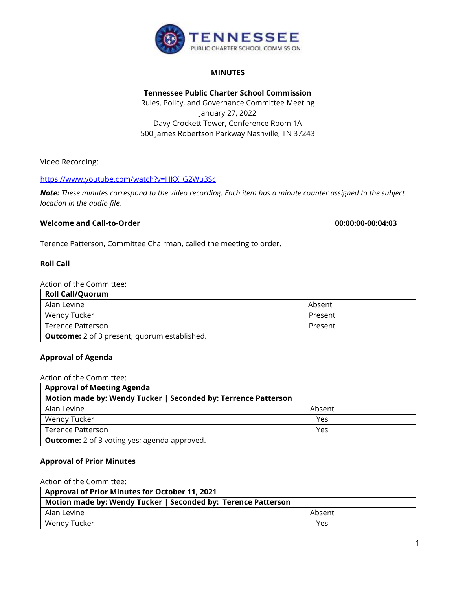

# **MINUTES**

**Tennessee Public Charter School Commission**  Rules, Policy, and Governance Committee Meeting January 27, 2022 Davy Crockett Tower, Conference Room 1A 500 James Robertson Parkway Nashville, TN 37243

Video Recording:

## [https://www.youtube.com/watch?v=HKX\\_G2Wu3Sc](https://www.youtube.com/watch?v=HKX_G2Wu3Sc)

*Note: These minutes correspond to the video recording. Each item has a minute counter assigned to the subject location in the audio file.*

### **Welcome and Call-to-Order 00:00:00-00:04:03**

Terence Patterson, Committee Chairman, called the meeting to order.

## **Roll Call**

#### Action of the Committee:

| <b>Roll Call/Quorum</b>                             |         |
|-----------------------------------------------------|---------|
| Alan Levine                                         | Absent  |
| Wendy Tucker                                        | Present |
| Terence Patterson                                   | Present |
| <b>Outcome:</b> 2 of 3 present; quorum established. |         |

### **Approval of Agenda**

Action of the Committee:

| <b>Approval of Meeting Agenda</b>                              |        |  |
|----------------------------------------------------------------|--------|--|
| Motion made by: Wendy Tucker   Seconded by: Terrence Patterson |        |  |
| Alan Levine                                                    | Absent |  |
| Wendy Tucker                                                   | Yes    |  |
| Terence Patterson                                              | Yes    |  |
| <b>Outcome:</b> 2 of 3 voting yes; agenda approved.            |        |  |

### **Approval of Prior Minutes**

Action of the Committee:

| <b>Approval of Prior Minutes for October 11, 2021</b>         |        |  |
|---------------------------------------------------------------|--------|--|
| Motion made by: Wendy Tucker   Seconded by: Terence Patterson |        |  |
| Alan Levine                                                   | Absent |  |
| Wendy Tucker                                                  | Yes    |  |